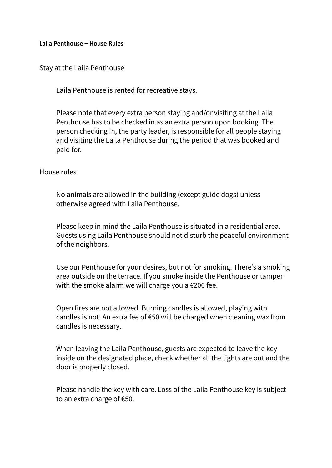## **Laila Penthouse – House Rules**

Stay at the Laila Penthouse

Laila Penthouse is rented for recreative stays.

Please note that every extra person staying and/or visiting at the Laila Penthouse has to be checked in as an extra person upon booking. The person checking in, the party leader, is responsible for all people staying and visiting the Laila Penthouse during the period that was booked and paid for.

## House rules

No animals are allowed in the building (except guide dogs) unless otherwise agreed with Laila Penthouse.

Please keep in mind the Laila Penthouse is situated in a residential area. Guests using Laila Penthouse should not disturb the peaceful environment of the neighbors.

Use our Penthouse for your desires, but not for smoking. There's a smoking area outside on the terrace. If you smoke inside the Penthouse or tamper with the smoke alarm we will charge you a €200 fee.

Open fires are not allowed. Burning candles is allowed, playing with candles is not. An extra fee of €50 will be charged when cleaning wax from candles is necessary.

When leaving the Laila Penthouse, guests are expected to leave the key inside on the designated place, check whether all the lights are out and the door is properly closed.

Please handle the key with care. Loss of the Laila Penthouse key is subject to an extra charge of €50.